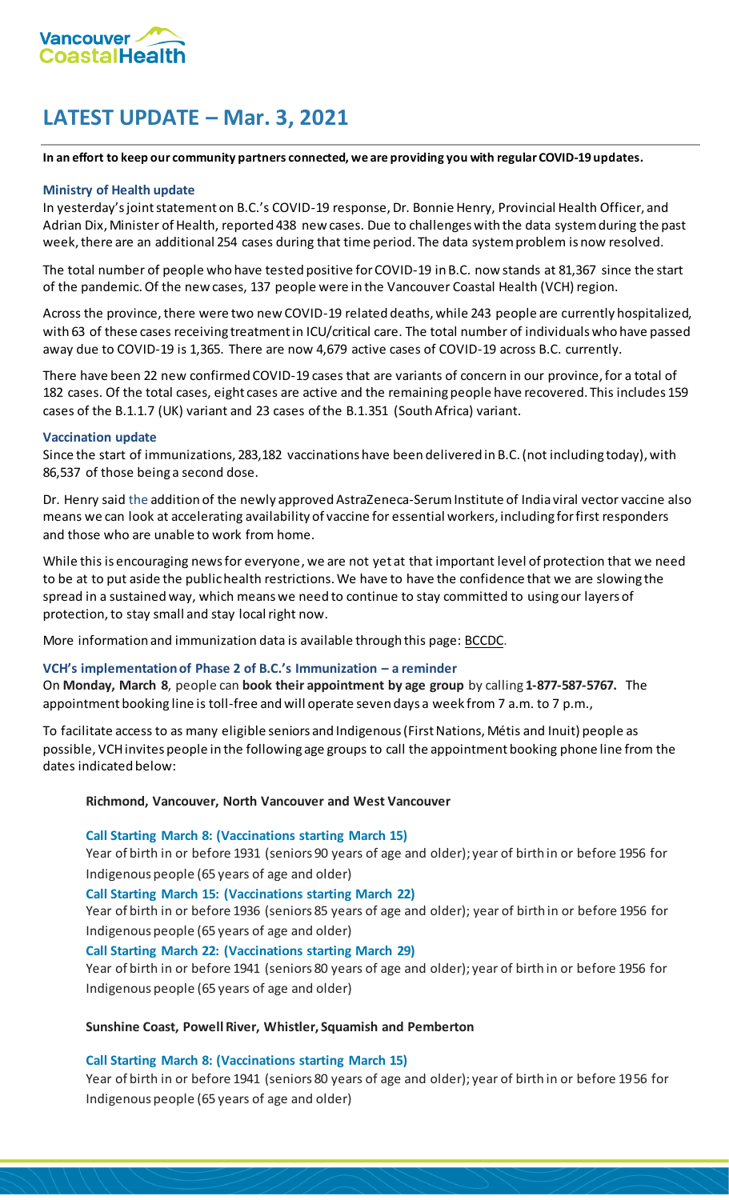

# **LATEST UPDATE – Mar. 3, 2021**

#### **In an effort to keep our community partners connected, we are providing you with regular COVID-19 updates.**

### **Ministry of Health update**

In yesterday's joint statement on B.C.'s COVID-19 response, Dr. Bonnie Henry, Provincial Health Officer, and Adrian Dix, Minister of Health, reported 438 new cases. Due to challenges with the data system during the past week, there are an additional 254 cases during that time period. The data system problem is now resolved.

The total number of people who have tested positive for COVID-19 in B.C. now stands at 81,367 since the start of the pandemic. Of the new cases, 137 people were in the Vancouver Coastal Health (VCH) region.

Across the province, there were two new COVID-19 related deaths, while 243 people are currently hospitalized, with 63 of these cases receiving treatment in ICU/critical care. The total number of individuals who have passed away due to COVID-19 is 1,365. There are now 4,679 active cases of COVID-19 across B.C. currently.

There have been 22 new confirmed COVID-19 cases that are variants of concern in our province, for a total of 182 cases. Of the total cases, eight cases are active and the remaining people have recovered. This includes 159 cases of the B.1.1.7 (UK) variant and 23 cases of the B.1.351 (South Africa) variant.

#### **Vaccination update**

Since the start of immunizations, 283,182 vaccinations have been delivered in B.C. (not including today), with 86,537 of those being a second dose.

Dr. Henry said the addition of the newly approved AstraZeneca-Serum Institute of India viral vector vaccine also means we can look at accelerating availability of vaccine for essential workers, including for first responders and those who are unable to work from home.

While this is encouraging news for everyone, we are not yet at that important level of protection that we need to be at to put aside the public health restrictions. We have to have the confidence that we are slowing the spread in a sustained way, which means we need to continue to stay committed to using our layers of protection, to stay small and stay local right now.

More information and immunization data is available through this page[: BCCDC.](http://www.bccdc.ca/health-info/diseases-conditions/covid-19/covid-19-vaccine)

## **VCH's implementation of Phase 2 of B.C.'s Immunization – a reminder**

On **Monday, March 8**, people can **book their appointment by age group** by calling **1-877-587-5767.** The appointment booking line is toll-free and will operate seven days a week from 7 a.m. to 7 p.m.,

To facilitate access to as many eligible seniors and Indigenous (First Nations, Métis and Inuit) people as possible, VCH invites people in the following age groups to call the appointment booking phone line from the dates indicated below:

#### **Richmond, Vancouver, North Vancouver and West Vancouver**

#### **Call Starting March 8: (Vaccinations starting March 15)**

Year of birth in or before 1931 (seniors 90 years of age and older); year of birth in or before 1956 for Indigenous people (65 years of age and older)

## **Call Starting March 15: (Vaccinations starting March 22)**

Year of birth in or before 1936 (seniors 85 years of age and older); year of birth in or before 1956 for Indigenous people (65 years of age and older)

## **Call Starting March 22: (Vaccinations starting March 29)**

Year of birth in or before 1941 (seniors 80 years of age and older); year of birth in or before 1956 for Indigenous people (65 years of age and older)

#### **Sunshine Coast, Powell River, Whistler, Squamish and Pemberton**

## **Call Starting March 8: (Vaccinations starting March 15)**

Year of birth in or before 1941 (seniors 80 years of age and older); year of birth in or before 1956 for Indigenous people (65 years of age and older)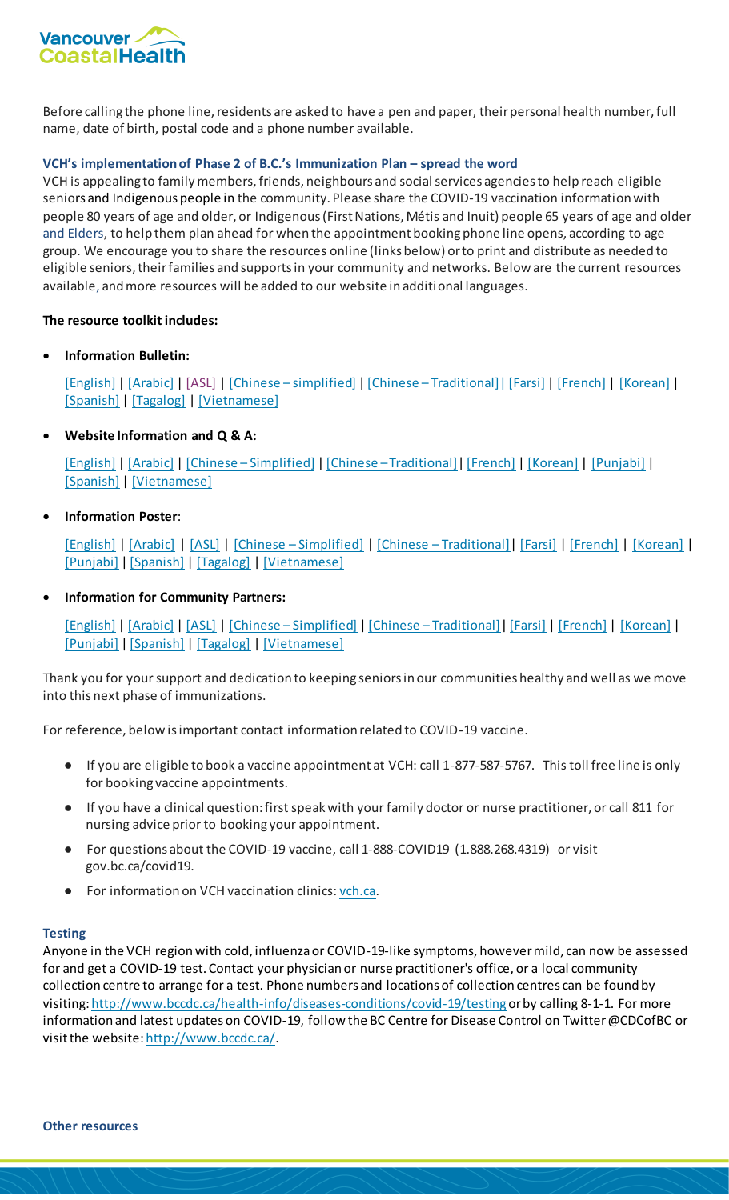

Before calling the phone line, residents are asked to have a pen and paper, their personal health number, full name, date of birth, postal code and a phone number available.

## **VCH's implementation of Phase 2 of B.C.'s Immunization Plan – spread the word**

VCH is appealing to family members, friends, neighbours and social services agencies to help reach eligible seniors and Indigenous people in the community. Please share the COVID-19 vaccination information with people 80 years of age and older, or Indigenous (First Nations, Métis and Inuit) people 65 years of age and older and Elders, to help them plan ahead for when the appointment booking phone line opens, according to age group. We encourage you to share the resources online (links below) or to print and distribute as needed to eligible seniors, their families and supports in your community and networks. Below are the current resources available, and more resources will be added to our website in additional languages.

## **The resource toolkit includes:**

**Information Bulletin:** 

[\[English\]](http://www.vch.ca/about-us/news/news-releases/vch-opens-covid-19-vaccination-clinics-to-eligible-seniors-and-indigenous-people-on-march-15) [| \[Arabic\]](http://www.vch.ca/Documents/VCH_Information_Bulletin_COVID19_vaccination_clinics_Arabic.pdf) | [\[ASL\]](https://www.youtube.com/watch?v=kyas9yrBBzc) | [Chinese – [simplified\]](http://www.vch.ca/Documents/VCH_Information_Bulletin_COVID19_vaccination_clinics_Simplified_Chinese.pdf) | [Chinese – [Traditional\]|](http://www.vch.ca/Documents/VCH_Information_Bulletin_COVID19_vaccination_clinics_Traditional_Chinese.pdf) [\[Farsi\]](http://www.vch.ca/Documents/VCH_Information_Bulletin_COVID19_vaccination_clinics_Farsi.pdf) [| \[French\]](http://www.vch.ca/Documents/VCH_Information_Bulletin_COVID19_vaccination_clinics_French.pdf) [| \[Korean\]](http://www.vch.ca/Documents/VCH_Information_Bulletin_COVID19_vaccination_clinics_Korean.pdf) | [\[Spanish\]](http://www.vch.ca/Documents/VCH_Information_Bulletin_COVID19_vaccination_clinics_Spanish.pdf) [| \[Tagalog\]](http://www.vch.ca/Documents/VCH_Information_Bulletin_COVID19_vaccination_clinics_Tagalog.pdf) [| \[Vietnamese\]](http://www.vch.ca/Documents/VCH_Information_Bulletin_COVID19_vaccination_clinics_Vietnamese.pdf)

# **Website Information and Q & A:**

[\[English\]](http://www.vch.ca/covid-19/covid-19-vaccine) [| \[Arabic\]](http://www.vch.ca/Documents/VCH-COVID19-Vaccine-80-webpage-Arabic.pdf) | [Chinese – [Simplified\]](http://www.vch.ca/Documents/VCH-COVID19-Vaccine-80-webpage-Chinese-Simp.pdf) | [Chinese –[Traditional\]](http://www.vch.ca/Documents/VCH-COVID19-Vaccine-80-webpage-Chinese-Trad.pdf)[| \[French\]](http://www.vch.ca/Documents/VCH-COVID19-Vaccine-80-webpage-French.pdf) [| \[Korean\]](http://www.vch.ca/Documents/VCH-COVID19-Vaccine-80-webpage-Korean.pdf) [| \[Punjabi\]](http://www.vch.ca/Documents/VCH-COVID19-Vaccine-80-webpage-Punjabi.pdf) | [\[Spanish\]](http://www.vch.ca/Documents/VCH-COVID19-Vaccine-80-webpage-Spanish.pdf) [| \[Vietnamese\]](http://www.vch.ca/Documents/VCH-COVID19-Vaccine-80-webpage-Vietnamese.pdf)

**Information Poster**:

[\[English\]](http://www.vch.ca/Documents/COVID-19-vaccine-information-for-seniors.pdf) | [\[Arabic\]](http://www.vch.ca/Documents/COVID-19-vaccine-information-for-seniors_arabic.pdf) [| \[ASL\]](https://youtu.be/KuPkIKoO4Yw) | [Chinese – [Simplified\]](http://www.vch.ca/Documents/COVID-19-vaccine-information-for-seniors_simplified_chinese.pdf) | [Chinese – [Traditional\]](http://www.vch.ca/Documents/COVID-19-vaccine-information-for-seniors_traditional_chinese.pdf)[| \[Farsi\]](http://www.vch.ca/Documents/COVID-19-vaccine-information-for-seniors_farsi.pdf) [| \[French\]](http://www.vch.ca/Documents/COVID-19-vaccine-information-for-seniors_french.pdf) | [\[Korean\]](http://www.vch.ca/Documents/COVID-19-vaccine-information-for-seniors_korean.pdf) | [\[Punjabi\]](http://www.vch.ca/Documents/COVID-19-vaccine-information-for-seniors_punjabi.pdf) [| \[Spanish\]](http://www.vch.ca/Documents/COVID-19-vaccine-information-for-seniors_spanish.pdf) [| \[Tagalog\]](http://www.vch.ca/Documents/COVID-19-vaccine-information-for-seniors_tagalog.pdf) | [\[Vietnamese\]](http://www.vch.ca/Documents/COVID-19-vaccine-information-for-seniors_vietnamese.pdf)

# **Information for Community Partners:**

[\[English\]](http://www.vch.ca/Documents/covid-19-vaccine-update-for-community-partners-march-01.pdf) [| \[Arabic\]](http://www.vch.ca/Documents/covid19_vaccine_update_for_community_partners_arabic.pdf) | [\[ASL\]](https://youtu.be/LoLedQvyRMA) | [Chinese – [Simplified\]](http://www.vch.ca/_layouts/15/DocIdRedir.aspx?ID=VCHCA-1797567310-3213) | [Chinese – [Traditional\]](http://www.vch.ca/Documents/covid19_vaccine_update_for_community_partners_traditional_chinese.pdf)[| \[Farsi\]](http://www.vch.ca/Documents/covid19_vaccine_update_for_community_partners_farsi.pdf) [| \[French\]](http://www.vch.ca/Documents/covid19_vaccine_update_for_community_partners_french.pdf) [| \[Korean\]](http://www.vch.ca/Documents/covid19_vaccine_update_for_community_partners_korean.pdf) | [\[Punjabi\]](http://www.vch.ca/Documents/covid19_vaccine_update_for_community_partners_punjabi.pdf) [| \[Spanish\]](http://www.vch.ca/Documents/covid19_vaccine_update_for_community_partners_spanish.pdf) [| \[Tagalog\]](http://www.vch.ca/Documents/covid19_vaccine_update_for_community_partners_tagalog.pdf) | [\[Vietnamese\]](http://www.vch.ca/Documents/covid19_vaccine_update_for_community_partners_vietnamese.pdf)

Thank you for your support and dedication to keeping seniors in our communities healthy and well as we move into this next phase of immunizations.

For reference, below is important contact information related to COVID-19 vaccine.

- If you are eligible to book a vaccine appointment at VCH: call 1-877-587-5767. This toll free line is only for booking vaccine appointments.
- If you have a clinical question: first speak with your family doctor or nurse practitioner, or call 811 for nursing advice prior to booking your appointment.
- For questions about the COVID-19 vaccine, call 1-888-COVID19 (1.888.268.4319) or visit gov.bc.ca/covid19.
- For information on VCH vaccination clinics[: vch.ca.](http://www.vch.ca/covid-19/covid-19-vaccine)

## **Testing**

Anyone in the VCH region with cold, influenza or COVID-19-like symptoms, however mild, can now be assessed for and get a COVID-19 test. Contact your physician or nurse practitioner's office, or a local community collection centre to arrange for a test. Phone numbers and locations of collection centres can be found by visiting[: http://www.bccdc.ca/health-info/diseases-conditions/covid-19/testing](http://www.bccdc.ca/health-info/diseases-conditions/covid-19/testing) or by calling 8-1-1. For more information and latest updates on COVID-19, follow the BC Centre for Disease Control on Twitter @CDCofBC or visit the website[: http://www.bccdc.ca/.](http://www.bccdc.ca/)